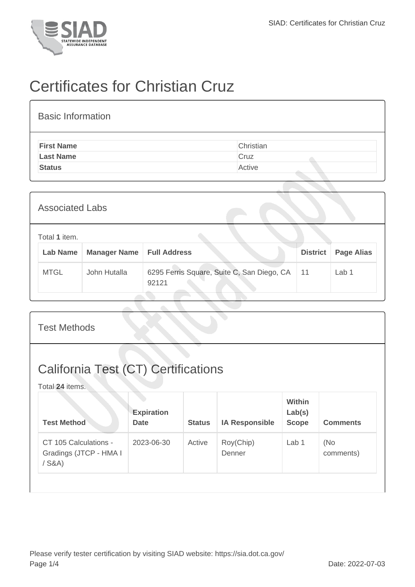

## Certificates for Christian Cruz

| <b>Basic Information</b> |           |
|--------------------------|-----------|
| <b>First Name</b>        | Christian |
| <b>Last Name</b>         | Cruz      |
| <b>Status</b>            | Active    |
|                          |           |

| <b>Associated Labs</b>           |                     |                                                     |                 |                   |  |  |  |
|----------------------------------|---------------------|-----------------------------------------------------|-----------------|-------------------|--|--|--|
| Total 1 item.<br><b>Lab Name</b> | <b>Manager Name</b> | <b>Full Address</b>                                 | <b>District</b> | <b>Page Alias</b> |  |  |  |
| <b>MTGL</b>                      | John Hutalla        | 6295 Ferris Square, Suite C, San Diego, CA<br>92121 | 11              | Lab 1             |  |  |  |

| <b>Test Methods</b>                                           |                                  |               |                       |                                         |                  |  |  |
|---------------------------------------------------------------|----------------------------------|---------------|-----------------------|-----------------------------------------|------------------|--|--|
| <b>California Test (CT) Certifications</b><br>Total 24 items. |                                  |               |                       |                                         |                  |  |  |
| <b>Test Method</b>                                            | <b>Expiration</b><br><b>Date</b> | <b>Status</b> | <b>IA Responsible</b> | <b>Within</b><br>Lab(s)<br><b>Scope</b> | <b>Comments</b>  |  |  |
| CT 105 Calculations -<br>Gradings (JTCP - HMA I<br>$/$ S&A)   | 2023-06-30                       | Active        | Roy(Chip)<br>Denner   | Lab 1                                   | (No<br>comments) |  |  |
|                                                               |                                  |               |                       |                                         |                  |  |  |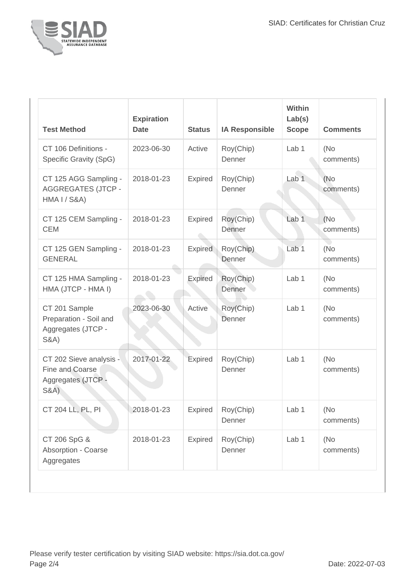

| <b>Test Method</b>                                                                  | <b>Expiration</b><br><b>Date</b> | <b>Status</b>  | <b>IA Responsible</b> | Within<br>Lab(s)<br><b>Scope</b> | <b>Comments</b>   |
|-------------------------------------------------------------------------------------|----------------------------------|----------------|-----------------------|----------------------------------|-------------------|
| CT 106 Definitions -<br>Specific Gravity (SpG)                                      | 2023-06-30                       | Active         | Roy(Chip)<br>Denner   | Lab <sub>1</sub>                 | (No<br>comments)  |
| CT 125 AGG Sampling -<br><b>AGGREGATES (JTCP -</b><br><b>HMA I / S&amp;A)</b>       | 2018-01-23                       | <b>Expired</b> | Roy(Chip)<br>Denner   | Lab <sub>1</sub>                 | (No<br>comments)  |
| CT 125 CEM Sampling -<br><b>CEM</b>                                                 | 2018-01-23                       | Expired        | Roy(Chip)<br>Denner   | Lab <sub>1</sub>                 | (No)<br>comments) |
| CT 125 GEN Sampling -<br><b>GENERAL</b>                                             | 2018-01-23                       | Expired        | Roy(Chip)<br>Denner   | Lab <sub>1</sub>                 | (No)<br>comments) |
| CT 125 HMA Sampling -<br>HMA (JTCP - HMA I)                                         | 2018-01-23                       | Expired        | Roy(Chip)<br>Denner   | Lab 1                            | (No<br>comments)  |
| CT 201 Sample<br>Preparation - Soil and<br>Aggregates (JTCP -<br><b>S&amp;A)</b>    | 2023-06-30                       | Active         | Roy(Chip)<br>Denner   | Lab 1                            | (No<br>comments)  |
| CT 202 Sieve analysis -<br>Fine and Coarse<br>Aggregates (JTCP -<br><b>S&amp;A)</b> | 2017-01-22                       | Expired        | Roy(Chip)<br>Denner   | Lab <sub>1</sub>                 | (No<br>comments)  |
| CT 204 LL, PL, PI                                                                   | 2018-01-23                       | Expired        | Roy(Chip)<br>Denner   | Lab 1                            | (No<br>comments)  |
| CT 206 SpG &<br>Absorption - Coarse<br>Aggregates                                   | 2018-01-23                       | Expired        | Roy(Chip)<br>Denner   | Lab <sub>1</sub>                 | (No<br>comments)  |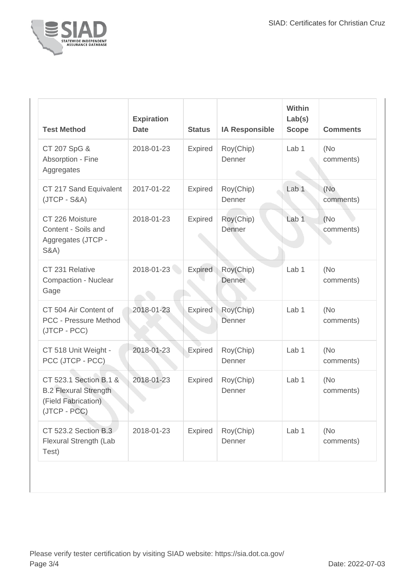

| <b>Test Method</b>                                                                              | <b>Expiration</b><br><b>Date</b> | <b>Status</b>  | <b>IA Responsible</b> | Within<br>Lab(s)<br><b>Scope</b> | <b>Comments</b>   |
|-------------------------------------------------------------------------------------------------|----------------------------------|----------------|-----------------------|----------------------------------|-------------------|
| CT 207 SpG &<br>Absorption - Fine<br>Aggregates                                                 | 2018-01-23                       | Expired        | Roy(Chip)<br>Denner   | Lab <sub>1</sub>                 | (No<br>comments)  |
| CT 217 Sand Equivalent<br>$(JTCP - S&A)$                                                        | 2017-01-22                       | Expired        | Roy(Chip)<br>Denner   | Lab <sub>1</sub>                 | (No<br>comments)  |
| CT 226 Moisture<br>Content - Soils and<br>Aggregates (JTCP -<br><b>S&amp;A)</b>                 | 2018-01-23                       | Expired        | Roy(Chip)<br>Denner   | Lab <sub>1</sub>                 | (No)<br>comments) |
| CT 231 Relative<br><b>Compaction - Nuclear</b><br>Gage                                          | 2018-01-23                       | <b>Expired</b> | Roy(Chip)<br>Denner   | Lab <sub>1</sub>                 | (No<br>comments)  |
| CT 504 Air Content of<br><b>PCC - Pressure Method</b><br>(JTCP - PCC)                           | 2018-01-23                       | <b>Expired</b> | Roy(Chip)<br>Denner   | Lab <sub>1</sub>                 | (No<br>comments)  |
| CT 518 Unit Weight -<br>PCC (JTCP - PCC)                                                        | 2018-01-23                       | <b>Expired</b> | Roy(Chip)<br>Denner   | Lab 1                            | (No<br>comments)  |
| CT 523.1 Section B.1 &<br><b>B.2 Flexural Strength</b><br>(Field Fabrication)<br>$(JTCP - PCC)$ | 2018-01-23                       | <b>Expired</b> | Roy(Chip)<br>Denner   | Lab 1                            | (No<br>comments)  |
| CT 523.2 Section B.3<br>Flexural Strength (Lab<br>Test)                                         | 2018-01-23                       | <b>Expired</b> | Roy(Chip)<br>Denner   | Lab 1                            | (No<br>comments)  |